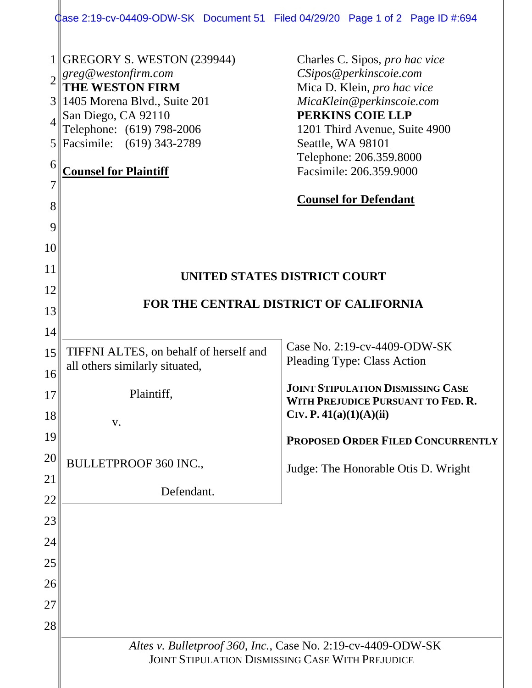| Case 2:19-cv-04409-ODW-SK Document 51 Filed 04/29/20 Page 1 of 2 Page ID #:694 |  |  |
|--------------------------------------------------------------------------------|--|--|
|                                                                                |  |  |

I

|          | 1 GREGORY S. WESTON (239944)                                                                                            | Charles C. Sipos, pro hac vice                                  |  |  |  |
|----------|-------------------------------------------------------------------------------------------------------------------------|-----------------------------------------------------------------|--|--|--|
|          | $\parallel$ greg@westonfirm.com                                                                                         | CSipos@perkinscoie.com                                          |  |  |  |
|          | THE WESTON FIRM<br>3 1405 Morena Blvd., Suite 201                                                                       | Mica D. Klein, pro hac vice<br>MicaKlein@perkinscoie.com        |  |  |  |
|          | San Diego, CA 92110                                                                                                     | PERKINS COIE LLP                                                |  |  |  |
|          | Telephone: (619) 798-2006<br>5 Facsimile: (619) 343-2789                                                                | 1201 Third Avenue, Suite 4900<br>Seattle, WA 98101              |  |  |  |
| 6        |                                                                                                                         | Telephone: 206.359.8000                                         |  |  |  |
| 7        | <b>Counsel for Plaintiff</b>                                                                                            | Facsimile: 206.359.9000                                         |  |  |  |
| 8        |                                                                                                                         | <b>Counsel for Defendant</b>                                    |  |  |  |
| 9        |                                                                                                                         |                                                                 |  |  |  |
| 10       |                                                                                                                         |                                                                 |  |  |  |
| 11       |                                                                                                                         |                                                                 |  |  |  |
| 12       | UNITED STATES DISTRICT COURT                                                                                            |                                                                 |  |  |  |
| 13       | FOR THE CENTRAL DISTRICT OF CALIFORNIA                                                                                  |                                                                 |  |  |  |
| 14       |                                                                                                                         |                                                                 |  |  |  |
| 15       | TIFFNI ALTES, on behalf of herself and                                                                                  | Case No. 2:19-cv-4409-ODW-SK                                    |  |  |  |
| 16       | all others similarly situated,                                                                                          | <b>Pleading Type: Class Action</b>                              |  |  |  |
| 17       | Plaintiff,                                                                                                              | <b>JOINT STIPULATION DISMISSING CASE</b>                        |  |  |  |
| 18       |                                                                                                                         | WITH PREJUDICE PURSUANT TO FED. R.<br>CIV. P. $41(a)(1)(A)(ii)$ |  |  |  |
| 19       | V.                                                                                                                      |                                                                 |  |  |  |
| 20       |                                                                                                                         | PROPOSED ORDER FILED CONCURRENTLY                               |  |  |  |
|          | <b>BULLETPROOF 360 INC.,</b>                                                                                            | Judge: The Honorable Otis D. Wright                             |  |  |  |
| 21<br>22 | Defendant.                                                                                                              |                                                                 |  |  |  |
| 23       |                                                                                                                         |                                                                 |  |  |  |
| 24       |                                                                                                                         |                                                                 |  |  |  |
| 25       |                                                                                                                         |                                                                 |  |  |  |
| 26       |                                                                                                                         |                                                                 |  |  |  |
| 27       |                                                                                                                         |                                                                 |  |  |  |
| 28       |                                                                                                                         |                                                                 |  |  |  |
|          |                                                                                                                         |                                                                 |  |  |  |
|          | Altes v. Bulletproof 360, Inc., Case No. 2:19-cv-4409-ODW-SK<br><b>JOINT STIPULATION DISMISSING CASE WITH PREJUDICE</b> |                                                                 |  |  |  |
|          |                                                                                                                         |                                                                 |  |  |  |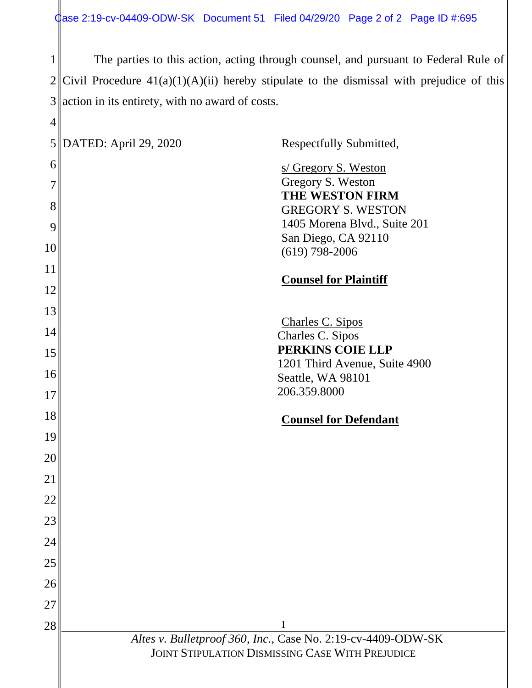1  $2$  Civil Procedure  $41(a)(1)(A)(ii)$  hereby stipulate to the dismissal with prejudice of this 3 action in its entirety, with no award of costs. The parties to this action, acting through counsel, and pursuant to Federal Rule of

| $\overline{4}$ |                       |                                                              |
|----------------|-----------------------|--------------------------------------------------------------|
| 5              | DATED: April 29, 2020 | Respectfully Submitted,                                      |
| 6              |                       | s/ Gregory S. Weston<br>Gregory S. Weston                    |
| 7              |                       | THE WESTON FIRM                                              |
| 8<br>9         |                       | <b>GREGORY S. WESTON</b><br>1405 Morena Blvd., Suite 201     |
| 10             |                       | San Diego, CA 92110                                          |
| 11             |                       | $(619)$ 798-2006                                             |
| 12             |                       | <b>Counsel for Plaintiff</b>                                 |
| 13             |                       |                                                              |
| 14             |                       | Charles C. Sipos<br>Charles C. Sipos                         |
| 15             |                       | PERKINS COIE LLP                                             |
| 16             |                       | 1201 Third Avenue, Suite 4900<br>Seattle, WA 98101           |
| 17             |                       | 206.359.8000                                                 |
| 18             |                       | <b>Counsel for Defendant</b>                                 |
| 19             |                       |                                                              |
| 20             |                       |                                                              |
| 21             |                       |                                                              |
| 22             |                       |                                                              |
| 23             |                       |                                                              |
| 24             |                       |                                                              |
| 25             |                       |                                                              |
| 26             |                       |                                                              |
| 27             |                       |                                                              |
| 28             |                       | Altes v. Bulletproof 360, Inc., Case No. 2:19-cv-4409-ODW-SK |
|                |                       | <b>JOINT STIPULATION DISMISSING CASE WITH PREJUDICE</b>      |
|                |                       |                                                              |
|                |                       |                                                              |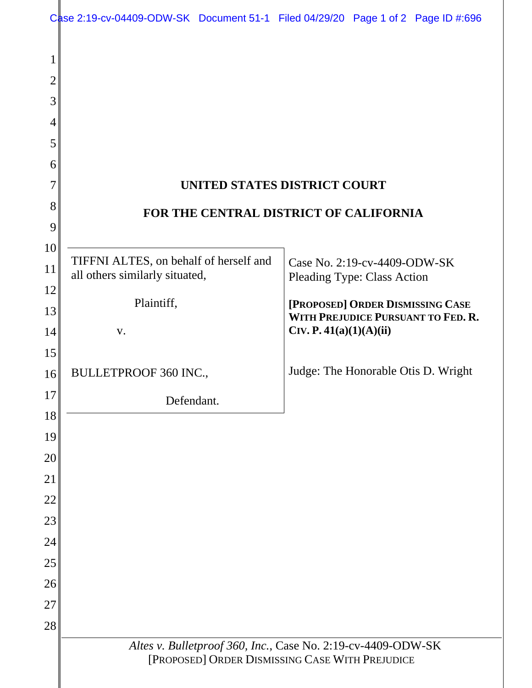|          | Case 2:19-cv-04409-ODW-SK Document 51-1 Filed 04/29/20 Page 1 of 2 Page ID #:696 |                                                              |                                    |  |                                     |
|----------|----------------------------------------------------------------------------------|--------------------------------------------------------------|------------------------------------|--|-------------------------------------|
|          |                                                                                  |                                                              |                                    |  |                                     |
| 2        |                                                                                  |                                                              |                                    |  |                                     |
| 3        |                                                                                  |                                                              |                                    |  |                                     |
| 4        |                                                                                  |                                                              |                                    |  |                                     |
| 5        |                                                                                  |                                                              |                                    |  |                                     |
| 6        |                                                                                  |                                                              |                                    |  |                                     |
|          | UNITED STATES DISTRICT COURT                                                     |                                                              |                                    |  |                                     |
| 8        | FOR THE CENTRAL DISTRICT OF CALIFORNIA                                           |                                                              |                                    |  |                                     |
| 9        |                                                                                  |                                                              |                                    |  |                                     |
| 10       | TIFFNI ALTES, on behalf of herself and                                           |                                                              | Case No. 2:19-cv-4409-ODW-SK       |  |                                     |
| 11<br>12 | all others similarly situated,                                                   |                                                              | <b>Pleading Type: Class Action</b> |  |                                     |
| 13       | Plaintiff,                                                                       |                                                              |                                    |  | [PROPOSED] ORDER DISMISSING CASE    |
| 14       | V.                                                                               |                                                              | CIV. P. 41(a)(1)(A)(ii)            |  | WITH PREJUDICE PURSUANT TO FED. R.  |
| 15       |                                                                                  |                                                              |                                    |  |                                     |
| 16       | BULLETPROOF 360 INC.,                                                            |                                                              |                                    |  | Judge: The Honorable Otis D. Wright |
| 17       | Defendant.                                                                       |                                                              |                                    |  |                                     |
| 18       |                                                                                  |                                                              |                                    |  |                                     |
| 19       |                                                                                  |                                                              |                                    |  |                                     |
| 20       |                                                                                  |                                                              |                                    |  |                                     |
| 21       |                                                                                  |                                                              |                                    |  |                                     |
| 22       |                                                                                  |                                                              |                                    |  |                                     |
| 23       |                                                                                  |                                                              |                                    |  |                                     |
| 24       |                                                                                  |                                                              |                                    |  |                                     |
| 25       |                                                                                  |                                                              |                                    |  |                                     |
| 26<br>27 |                                                                                  |                                                              |                                    |  |                                     |
| 28       |                                                                                  |                                                              |                                    |  |                                     |
|          |                                                                                  | Altes v. Bulletproof 360, Inc., Case No. 2:19-cv-4409-ODW-SK |                                    |  |                                     |
|          |                                                                                  | [PROPOSED] ORDER DISMISSING CASE WITH PREJUDICE              |                                    |  |                                     |
|          |                                                                                  |                                                              |                                    |  |                                     |